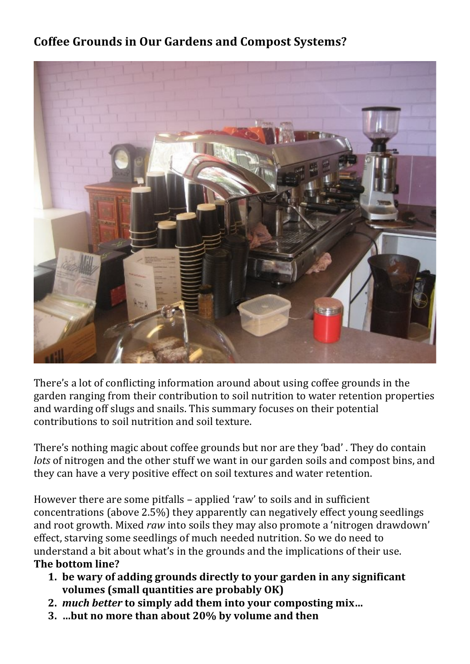## **Coffee Grounds in Our Gardens and Compost Systems?**



There's a lot of conflicting information around about using coffee grounds in the garden ranging from their contribution to soil nutrition to water retention properties and warding off slugs and snails. This summary focuses on their potential contributions to soil nutrition and soil texture. 

There's nothing magic about coffee grounds but nor are they 'bad'. They do contain *lots* of nitrogen and the other stuff we want in our garden soils and compost bins, and they can have a very positive effect on soil textures and water retention.

However there are some pitfalls – applied 'raw' to soils and in sufficient concentrations (above  $2.5\%$ ) they apparently can negatively effect young seedlings and root growth. Mixed *raw* into soils they may also promote a 'nitrogen drawdown' effect, starving some seedlings of much needed nutrition. So we do need to understand a bit about what's in the grounds and the implications of their use. **The bottom line?** 

- **1.** be wary of adding grounds directly to your garden in any significant **volumes** (small quantities are probably OK)
- **2.** *much better* **to simply add them into your composting mix…**
- **3.** ...but no more than about 20% by volume and then